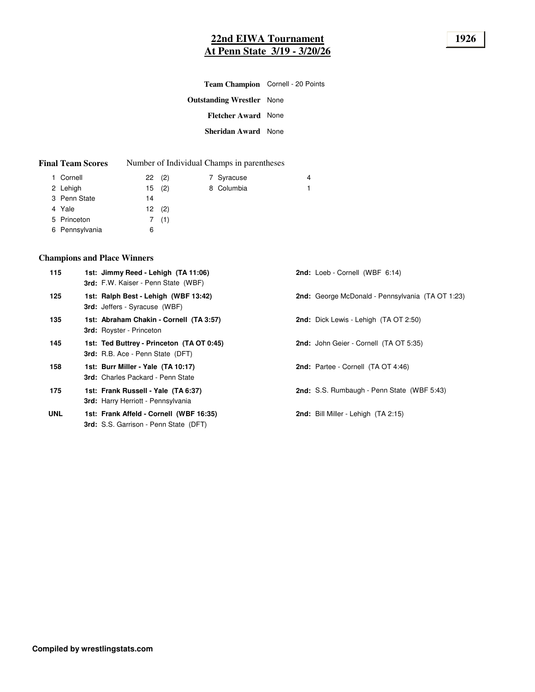# **22nd EIWA Tournament 1926 At Penn State 3/19 - 3/20/26**

| Team Champion Cornell - 20 Points |  |
|-----------------------------------|--|
| <b>Outstanding Wrestler</b> None  |  |
| <b>Fletcher Award None</b>        |  |
| <b>Sheridan Award</b> None        |  |
|                                   |  |

| <b>Final Team Scores</b> |  | Number of Individual Champs in parentheses |
|--------------------------|--|--------------------------------------------|
|--------------------------|--|--------------------------------------------|

| 1 Cornell      |    | 22(2) | 7 Syracuse | 4  |
|----------------|----|-------|------------|----|
| 2 Lehigh       |    | 15(2) | 8 Columbia | 1. |
| 3 Penn State   | 14 |       |            |    |
| 4 Yale         |    | 12(2) |            |    |
| 5 Princeton    |    | 7(1)  |            |    |
| 6 Pennsylvania | 6  |       |            |    |

# **Champions and Place Winners**

| 115        | 1st: Jimmy Reed - Lehigh (TA 11:06)<br>3rd: F.W. Kaiser - Penn State (WBF)              | 2nd: Loeb - Cornell (WBF 6:14)                    |
|------------|-----------------------------------------------------------------------------------------|---------------------------------------------------|
| 125        | 1st: Ralph Best - Lehigh (WBF 13:42)<br><b>3rd:</b> Jeffers - Syracuse (WBF)            | 2nd: George McDonald - Pennsylvania (TA OT 1:23)  |
| 135        | 1st: Abraham Chakin - Cornell (TA 3:57)<br><b>3rd:</b> Royster - Princeton              | <b>2nd:</b> Dick Lewis - Lehigh (TA OT 2:50)      |
| 145        | 1st: Ted Buttrey - Princeton (TA OT 0:45)<br>3rd: R.B. Ace - Penn State (DFT)           | 2nd: John Geier - Cornell (TA OT 5:35)            |
| 158        | 1st: Burr Miller - Yale (TA 10:17)<br>3rd: Charles Packard - Penn State                 | 2nd: Partee - Cornell (TA OT 4:46)                |
| 175        | 1st: Frank Russell - Yale (TA 6:37)<br>3rd: Harry Herriott - Pennsylvania               | <b>2nd:</b> S.S. Rumbaugh - Penn State (WBF 5:43) |
| <b>UNL</b> | 1st: Frank Affeld - Cornell (WBF 16:35)<br><b>3rd:</b> S.S. Garrison - Penn State (DFT) | <b>2nd:</b> Bill Miller - Lehigh (TA 2:15)        |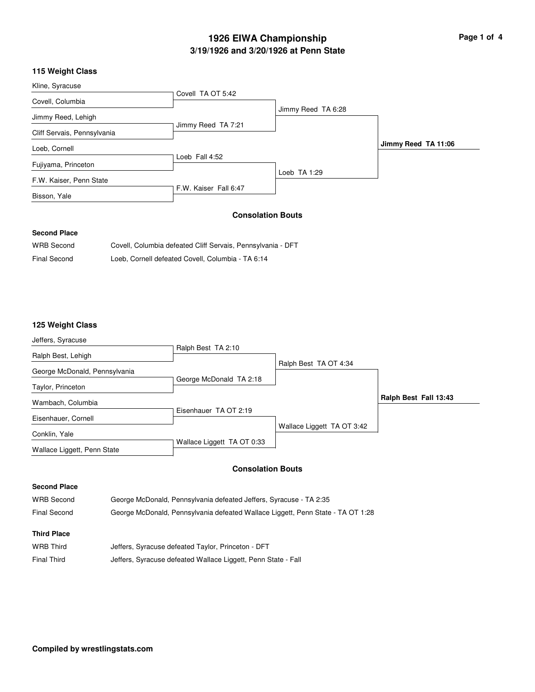# **3/19/1926 and 3/20/1926 at Penn State 1926 EIWA Championship Page 1 of 4**

# **115 Weight Class**

| Kline, Syracuse             |                       |                    |                     |
|-----------------------------|-----------------------|--------------------|---------------------|
|                             | Covell TA OT 5:42     |                    |                     |
| Covell, Columbia            |                       |                    |                     |
|                             |                       | Jimmy Reed TA 6:28 |                     |
| Jimmy Reed, Lehigh          |                       |                    |                     |
|                             | Jimmy Reed TA 7:21    |                    |                     |
| Cliff Servais, Pennsylvania |                       |                    |                     |
| Loeb, Cornell               |                       |                    | Jimmy Reed TA 11:06 |
|                             | Loeb Fall 4:52        |                    |                     |
| Fujiyama, Princeton         |                       |                    |                     |
|                             |                       | Loeb TA 1:29       |                     |
| F.W. Kaiser, Penn State     |                       |                    |                     |
|                             | F.W. Kaiser Fall 6:47 |                    |                     |
| Bisson, Yale                |                       |                    |                     |

### **Consolation Bouts**

### **Second Place**

| <b>WRB Second</b>   | Covell, Columbia defeated Cliff Servais, Pennsylvania - DFT |
|---------------------|-------------------------------------------------------------|
| <b>Final Second</b> | Loeb, Cornell defeated Covell, Columbia - TA 6:14           |

## **125 Weight Class**

| Jeffers, Syracuse                            |                                                                    |                                                                                 |                       |
|----------------------------------------------|--------------------------------------------------------------------|---------------------------------------------------------------------------------|-----------------------|
| Ralph Best, Lehigh                           | Ralph Best TA 2:10                                                 |                                                                                 |                       |
| George McDonald, Pennsylvania                | George McDonald TA 2:18                                            | Ralph Best TA OT 4:34                                                           |                       |
| Taylor, Princeton                            |                                                                    |                                                                                 |                       |
| Wambach, Columbia                            | Eisenhauer TA OT 2:19                                              |                                                                                 | Ralph Best Fall 13:43 |
| Eisenhauer, Cornell                          |                                                                    | Wallace Liggett TA OT 3:42                                                      |                       |
| Conklin, Yale<br>Wallace Liggett, Penn State | Wallace Liggett TA OT 0:33                                         |                                                                                 |                       |
|                                              | <b>Consolation Bouts</b>                                           |                                                                                 |                       |
| <b>Second Place</b>                          |                                                                    |                                                                                 |                       |
| <b>WRB</b> Second                            | George McDonald, Pennsylvania defeated Jeffers, Syracuse - TA 2:35 |                                                                                 |                       |
| <b>Final Second</b>                          |                                                                    | George McDonald, Pennsylvania defeated Wallace Liggett, Penn State - TA OT 1:28 |                       |
| <b>Third Place</b>                           |                                                                    |                                                                                 |                       |
| <b>WRB Third</b>                             | Jeffers, Syracuse defeated Taylor, Princeton - DFT                 |                                                                                 |                       |
| <b>Final Third</b>                           | Jeffers, Syracuse defeated Wallace Liggett, Penn State - Fall      |                                                                                 |                       |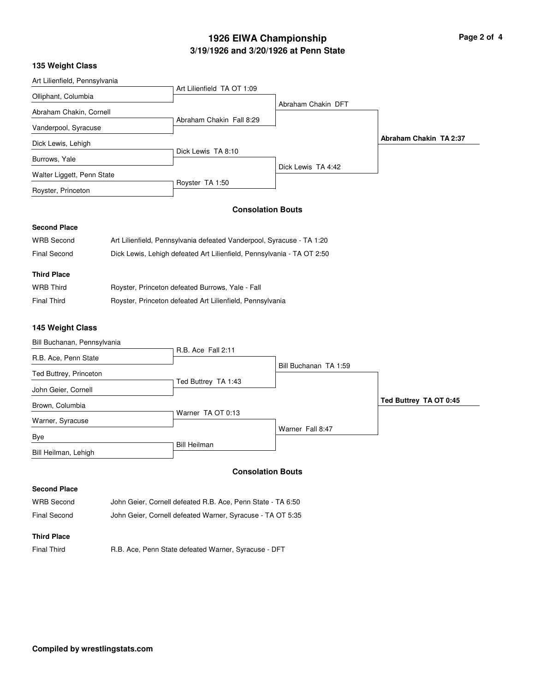# **3/19/1926 and 3/20/1926 at Penn State 1926 EIWA Championship Page 2 of 4**

### **135 Weight Class**

| Art Lilienfield, Pennsylvania |                            |                    |                        |
|-------------------------------|----------------------------|--------------------|------------------------|
|                               | Art Lilienfield TA OT 1:09 |                    |                        |
| Olliphant, Columbia           |                            |                    |                        |
| Abraham Chakin, Cornell       |                            | Abraham Chakin DFT |                        |
|                               | Abraham Chakin Fall 8:29   |                    |                        |
| Vanderpool, Syracuse          |                            |                    |                        |
| Dick Lewis, Lehigh            |                            |                    | Abraham Chakin TA 2:37 |
|                               | Dick Lewis TA 8:10         |                    |                        |
| Burrows, Yale                 |                            | Dick Lewis TA 4:42 |                        |
| Walter Liggett, Penn State    |                            |                    |                        |
| Royster, Princeton            | Royster TA 1:50            |                    |                        |
|                               |                            |                    |                        |

## **Consolation Bouts**

# **Second Place**

| <b>WRB Second</b>   | Art Lilienfield, Pennsylvania defeated Vanderpool, Syracuse - TA 1:20  |
|---------------------|------------------------------------------------------------------------|
| <b>Final Second</b> | Dick Lewis, Lehigh defeated Art Lilienfield, Pennsylvania - TA OT 2:50 |
|                     |                                                                        |
| <b>Third Place</b>  |                                                                        |
| <b>WRB</b> Third    | Royster, Princeton defeated Burrows, Yale - Fall                       |
| Final Third         | Royster, Princeton defeated Art Lilienfield, Pennsylvania              |

### **145 Weight Class**

|  | Bill Buchanan, Pennsylvania |  |
|--|-----------------------------|--|
|  |                             |  |

|                        | R.B. Ace Fall 2:11  |                       |                        |
|------------------------|---------------------|-----------------------|------------------------|
| R.B. Ace, Penn State   |                     | Bill Buchanan TA 1:59 |                        |
| Ted Buttrey, Princeton |                     |                       |                        |
| John Geier, Cornell    | Ted Buttrey TA 1:43 |                       |                        |
| Brown, Columbia        |                     |                       | Ted Buttrey TA OT 0:45 |
| Warner, Syracuse       | Warner TA OT 0:13   |                       |                        |
| Bye                    |                     | Warner Fall 8:47      |                        |
| Bill Heilman, Lehigh   | <b>Bill Heilman</b> |                       |                        |

## **Consolation Bouts**

#### **Second Place**

| <b>WRB Second</b> | John Geier, Cornell defeated R.B. Ace, Penn State - TA 6:50 |
|-------------------|-------------------------------------------------------------|
| Final Second      | John Geier, Cornell defeated Warner, Syracuse - TA OT 5:35  |

### **Third Place**

Final Third **R.B. Ace, Penn State defeated Warner, Syracuse - DFT**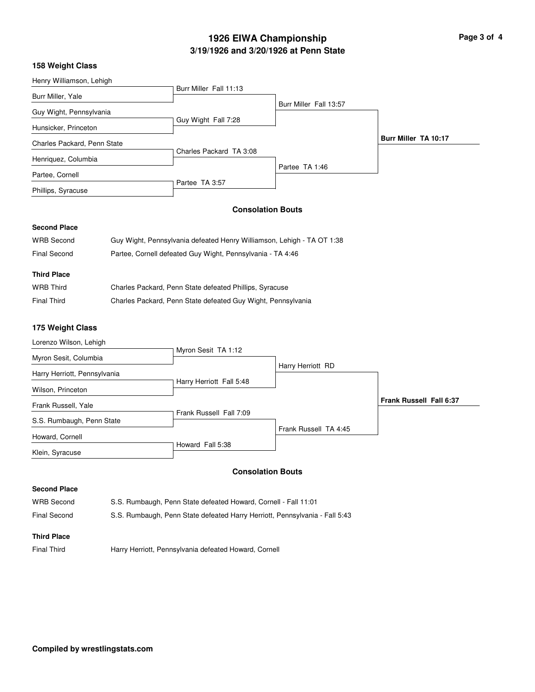# **3/19/1926 and 3/20/1926 at Penn State 1926 EIWA Championship Page 3 of 4**

### **158 Weight Class**

| Henry Williamson, Lehigh    |                         |                        |                             |
|-----------------------------|-------------------------|------------------------|-----------------------------|
| Burr Miller, Yale           | Burr Miller Fall 11:13  |                        |                             |
|                             |                         | Burr Miller Fall 13:57 |                             |
| Guy Wight, Pennsylvania     |                         |                        |                             |
| Hunsicker, Princeton        | Guy Wight Fall 7:28     |                        |                             |
| Charles Packard, Penn State |                         |                        | <b>Burr Miller TA 10:17</b> |
| Henriquez, Columbia         | Charles Packard TA 3:08 |                        |                             |
|                             |                         | Partee TA 1:46         |                             |
| Partee, Cornell             |                         |                        |                             |
|                             | Partee TA 3:57          |                        |                             |
| Phillips, Syracuse          |                         |                        |                             |
|                             |                         |                        |                             |

#### **Consolation Bouts**

## **Second Place**

| <b>WRB Second</b>   | Guy Wight, Pennsylvania defeated Henry Williamson, Lehigh - TA OT 1:38 |
|---------------------|------------------------------------------------------------------------|
| <b>Final Second</b> | Partee, Cornell defeated Guy Wight, Pennsylvania - TA 4:46             |
|                     |                                                                        |
| <b>Third Place</b>  |                                                                        |
| <b>WRB Third</b>    | Charles Packard, Penn State defeated Phillips, Syracuse                |
| <b>Final Third</b>  | Charles Packard, Penn State defeated Guy Wight, Pennsylvania           |

#### **175 Weight Class**

| Myron Sesit TA 1:12     |                                              |                                            |
|-------------------------|----------------------------------------------|--------------------------------------------|
|                         |                                              |                                            |
|                         |                                              |                                            |
|                         |                                              |                                            |
|                         |                                              |                                            |
|                         |                                              | <b>Frank Russell Fall 6:37</b>             |
| Frank Russell Fall 7:09 |                                              |                                            |
|                         |                                              |                                            |
|                         |                                              |                                            |
|                         |                                              |                                            |
|                         |                                              |                                            |
|                         | Harry Herriott Fall 5:48<br>Howard Fall 5:38 | Harry Herriott RD<br>Frank Russell TA 4:45 |

## **Consolation Bouts**

#### **Second Place**

| <b>WRB Second</b> | S.S. Rumbaugh, Penn State defeated Howard, Cornell - Fall 11:01             |
|-------------------|-----------------------------------------------------------------------------|
| Final Second      | S.S. Rumbaugh, Penn State defeated Harry Herriott, Pennsylvania - Fall 5:43 |

#### **Third Place**

Final Third **Harry Herriott, Pennsylvania defeated Howard, Cornell**